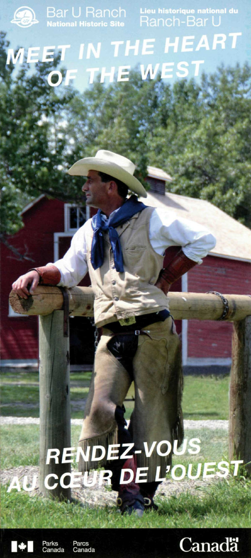

Lieu historique national du<br>Ranch-Bar U

# E HEAR1

## DEZ-VOU.<br>JR DE L'OI **REN**<br>COEL AU. FST6



Parks<br>Canada

Parcs<br>Canada

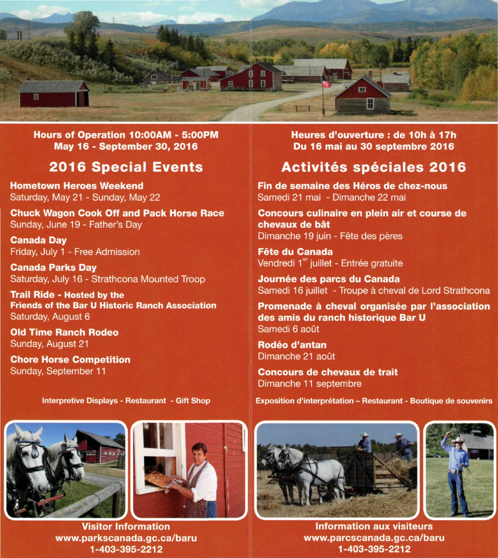

**Hours of Operation 10:00AM - 5:00PM May 16 - September 30, 2016** 

### **2016 Special Events**

**Hometown Heroes Weekend**  Saturday, May 21 - Sunday, May 22

**Chuck Wagon Cook Off and Pack Horse Race**  Sunday, June 19 - Father's Day

**Canada Day**  Friday, July 1 - Free Admission

**Canada Parks Day**  Saturday, July 16 - Strathcona Mounted Troop

**Trail Ride - Hosted by the Friends of the Bar U Historic Ranch Association**  Saturday, August 6

**Old Time Ranch Rodeo**  Sunday, August 21

**Chore Horse Competition**  Sunday, September 11

Interpretive Displays - Restaurant - Gift Shop



**Visitor Information [www.parkscanada.gc.ca/baru](http://www.parkscanada.gc.ca/baru)  1-403-395-2212** 

**Heures d'ouverture : de 10h à 17h Du 16 mai au 30 septembre 2016** 

### **Activités spéciales 2016**

**Fin de semaine des Héros de chez-nous**  Samedi 21 mai - Dimanche 22 mai

**Concours culinaire en plein air et course de chevaux de bât**  Dimanche 19 juin - Fête des pères

**Fête du Canada**  Vendredi 1<sup>er</sup> juillet - Entrée gratuite

**Journée des parcs du Canada**  Samedi 16 juillet - Troupe à cheval de Lord Strathcona

**Promenade à cheval organisée par l'association des amis du ranch historique Bar U**  Samedi 6 août

**Rodéo d'antan**  Dimanche 21 août

**Concours de chevaux de trait**  Dimanche 11 septembre

Exposition d'interprétation - Restaurant - Boutique de souvenirs





**Information aux visiteurs [www.parcscanada.gc.ca/baru](http://www.parcscanada.gc.ca/baru)  1-403-395-2212**